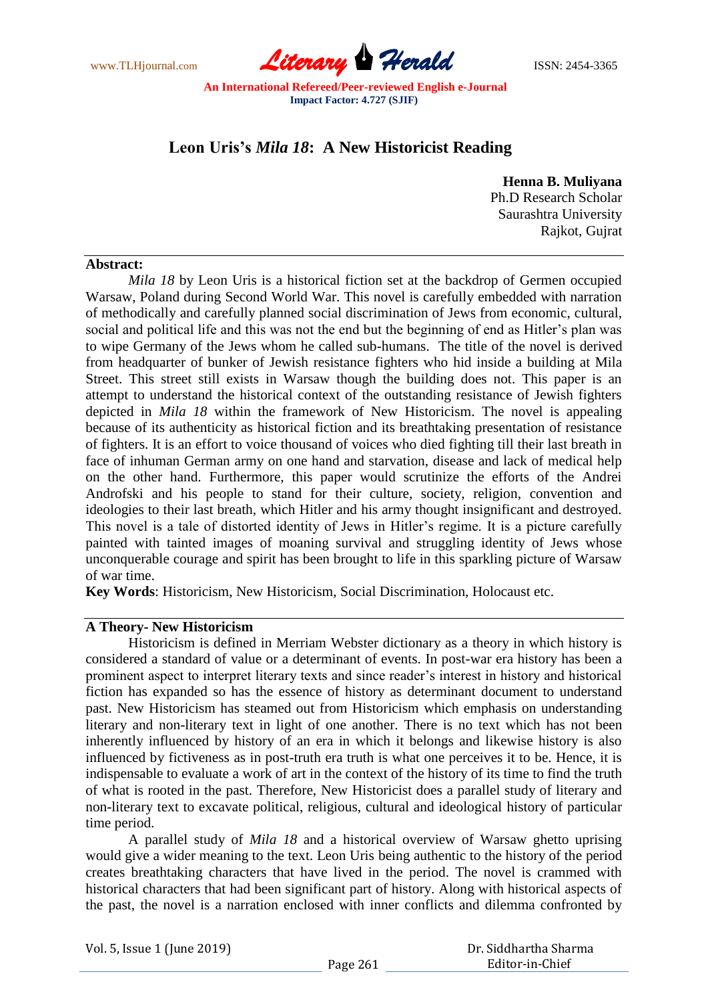www.TLHjournal.com **Literary Herald ISSN: 2454-3365** 

# **Leon Uris's** *Mila 18***: A New Historicist Reading**

**Henna B. Muliyana** Ph.D Research Scholar Saurashtra University Rajkot, Gujrat

#### **Abstract:**

*Mila 18* by Leon Uris is a historical fiction set at the backdrop of Germen occupied Warsaw, Poland during Second World War. This novel is carefully embedded with narration of methodically and carefully planned social discrimination of Jews from economic, cultural, social and political life and this was not the end but the beginning of end as Hitler"s plan was to wipe Germany of the Jews whom he called sub-humans. The title of the novel is derived from headquarter of bunker of Jewish resistance fighters who hid inside a building at Mila Street. This street still exists in Warsaw though the building does not. This paper is an attempt to understand the historical context of the outstanding resistance of Jewish fighters depicted in *Mila 18* within the framework of New Historicism. The novel is appealing because of its authenticity as historical fiction and its breathtaking presentation of resistance of fighters. It is an effort to voice thousand of voices who died fighting till their last breath in face of inhuman German army on one hand and starvation, disease and lack of medical help on the other hand. Furthermore, this paper would scrutinize the efforts of the Andrei Androfski and his people to stand for their culture, society, religion, convention and ideologies to their last breath, which Hitler and his army thought insignificant and destroyed. This novel is a tale of distorted identity of Jews in Hitler's regime. It is a picture carefully painted with tainted images of moaning survival and struggling identity of Jews whose unconquerable courage and spirit has been brought to life in this sparkling picture of Warsaw of war time.

**Key Words**: Historicism, New Historicism, Social Discrimination, Holocaust etc.

## **A Theory- New Historicism**

Historicism is defined in Merriam Webster dictionary as a theory in which history is considered a standard of value or a determinant of events. In post-war era history has been a prominent aspect to interpret literary texts and since reader"s interest in history and historical fiction has expanded so has the essence of history as determinant document to understand past. New Historicism has steamed out from Historicism which emphasis on understanding literary and non-literary text in light of one another. There is no text which has not been inherently influenced by history of an era in which it belongs and likewise history is also influenced by fictiveness as in post-truth era truth is what one perceives it to be. Hence, it is indispensable to evaluate a work of art in the context of the history of its time to find the truth of what is rooted in the past. Therefore, New Historicist does a parallel study of literary and non-literary text to excavate political, religious, cultural and ideological history of particular time period.

A parallel study of *Mila 18* and a historical overview of Warsaw ghetto uprising would give a wider meaning to the text. Leon Uris being authentic to the history of the period creates breathtaking characters that have lived in the period. The novel is crammed with historical characters that had been significant part of history. Along with historical aspects of the past, the novel is a narration enclosed with inner conflicts and dilemma confronted by

Vol. 5, Issue 1 (June 2019)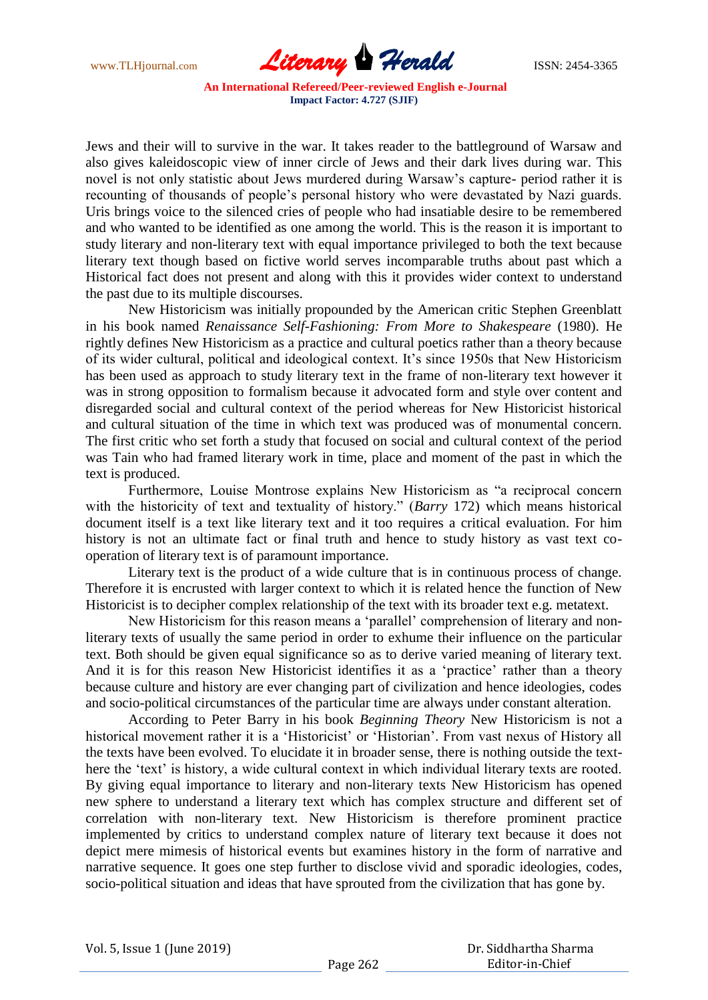

Jews and their will to survive in the war. It takes reader to the battleground of Warsaw and also gives kaleidoscopic view of inner circle of Jews and their dark lives during war. This novel is not only statistic about Jews murdered during Warsaw"s capture- period rather it is recounting of thousands of people"s personal history who were devastated by Nazi guards. Uris brings voice to the silenced cries of people who had insatiable desire to be remembered and who wanted to be identified as one among the world. This is the reason it is important to study literary and non-literary text with equal importance privileged to both the text because literary text though based on fictive world serves incomparable truths about past which a Historical fact does not present and along with this it provides wider context to understand the past due to its multiple discourses.

New Historicism was initially propounded by the American critic Stephen Greenblatt in his book named *Renaissance Self-Fashioning: From More to Shakespeare* (1980). He rightly defines New Historicism as a practice and cultural poetics rather than a theory because of its wider cultural, political and ideological context. It"s since 1950s that New Historicism has been used as approach to study literary text in the frame of non-literary text however it was in strong opposition to formalism because it advocated form and style over content and disregarded social and cultural context of the period whereas for New Historicist historical and cultural situation of the time in which text was produced was of monumental concern. The first critic who set forth a study that focused on social and cultural context of the period was Tain who had framed literary work in time, place and moment of the past in which the text is produced.

Furthermore, Louise Montrose explains New Historicism as "a reciprocal concern with the historicity of text and textuality of history." (*Barry* 172) which means historical document itself is a text like literary text and it too requires a critical evaluation. For him history is not an ultimate fact or final truth and hence to study history as vast text cooperation of literary text is of paramount importance.

Literary text is the product of a wide culture that is in continuous process of change. Therefore it is encrusted with larger context to which it is related hence the function of New Historicist is to decipher complex relationship of the text with its broader text e.g. metatext.

New Historicism for this reason means a "parallel" comprehension of literary and nonliterary texts of usually the same period in order to exhume their influence on the particular text. Both should be given equal significance so as to derive varied meaning of literary text. And it is for this reason New Historicist identifies it as a 'practice' rather than a theory because culture and history are ever changing part of civilization and hence ideologies, codes and socio-political circumstances of the particular time are always under constant alteration.

According to Peter Barry in his book *Beginning Theory* New Historicism is not a historical movement rather it is a 'Historicist' or 'Historian'. From vast nexus of History all the texts have been evolved. To elucidate it in broader sense, there is nothing outside the texthere the 'text' is history, a wide cultural context in which individual literary texts are rooted. By giving equal importance to literary and non-literary texts New Historicism has opened new sphere to understand a literary text which has complex structure and different set of correlation with non-literary text. New Historicism is therefore prominent practice implemented by critics to understand complex nature of literary text because it does not depict mere mimesis of historical events but examines history in the form of narrative and narrative sequence. It goes one step further to disclose vivid and sporadic ideologies, codes, socio-political situation and ideas that have sprouted from the civilization that has gone by.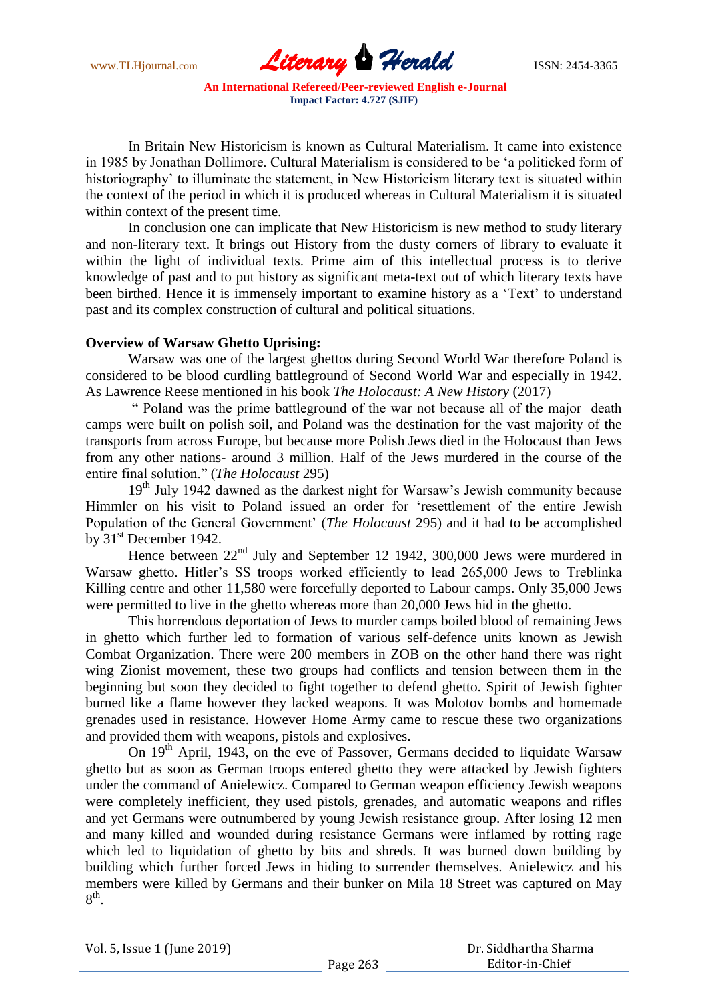www.TLHjournal.com **Literary Herald Herald** ISSN: 2454-3365

In Britain New Historicism is known as Cultural Materialism. It came into existence in 1985 by Jonathan Dollimore. Cultural Materialism is considered to be "a politicked form of historiography" to illuminate the statement, in New Historicism literary text is situated within the context of the period in which it is produced whereas in Cultural Materialism it is situated within context of the present time.

In conclusion one can implicate that New Historicism is new method to study literary and non-literary text. It brings out History from the dusty corners of library to evaluate it within the light of individual texts. Prime aim of this intellectual process is to derive knowledge of past and to put history as significant meta-text out of which literary texts have been birthed. Hence it is immensely important to examine history as a 'Text' to understand past and its complex construction of cultural and political situations.

#### **Overview of Warsaw Ghetto Uprising:**

Warsaw was one of the largest ghettos during Second World War therefore Poland is considered to be blood curdling battleground of Second World War and especially in 1942. As Lawrence Reese mentioned in his book *The Holocaust: A New History* (2017)

" Poland was the prime battleground of the war not because all of the major death camps were built on polish soil, and Poland was the destination for the vast majority of the transports from across Europe, but because more Polish Jews died in the Holocaust than Jews from any other nations- around 3 million. Half of the Jews murdered in the course of the entire final solution." (*The Holocaust* 295)

19<sup>th</sup> July 1942 dawned as the darkest night for Warsaw's Jewish community because Himmler on his visit to Poland issued an order for "resettlement of the entire Jewish Population of the General Government" (*The Holocaust* 295) and it had to be accomplished by  $31<sup>st</sup>$  December 1942.

Hence between 22<sup>nd</sup> July and September 12 1942, 300,000 Jews were murdered in Warsaw ghetto. Hitler"s SS troops worked efficiently to lead 265,000 Jews to Treblinka Killing centre and other 11,580 were forcefully deported to Labour camps. Only 35,000 Jews were permitted to live in the ghetto whereas more than 20,000 Jews hid in the ghetto.

This horrendous deportation of Jews to murder camps boiled blood of remaining Jews in ghetto which further led to formation of various self-defence units known as Jewish Combat Organization. There were 200 members in ZOB on the other hand there was right wing Zionist movement, these two groups had conflicts and tension between them in the beginning but soon they decided to fight together to defend ghetto. Spirit of Jewish fighter burned like a flame however they lacked weapons. It was Molotov bombs and homemade grenades used in resistance. However Home Army came to rescue these two organizations and provided them with weapons, pistols and explosives.

On 19th April, 1943, on the eve of Passover, Germans decided to liquidate Warsaw ghetto but as soon as German troops entered ghetto they were attacked by Jewish fighters under the command of Anielewicz. Compared to German weapon efficiency Jewish weapons were completely inefficient, they used pistols, grenades, and automatic weapons and rifles and yet Germans were outnumbered by young Jewish resistance group. After losing 12 men and many killed and wounded during resistance Germans were inflamed by rotting rage which led to liquidation of ghetto by bits and shreds. It was burned down building by building which further forced Jews in hiding to surrender themselves. Anielewicz and his members were killed by Germans and their bunker on Mila 18 Street was captured on May  $8^{\text{th}}$ .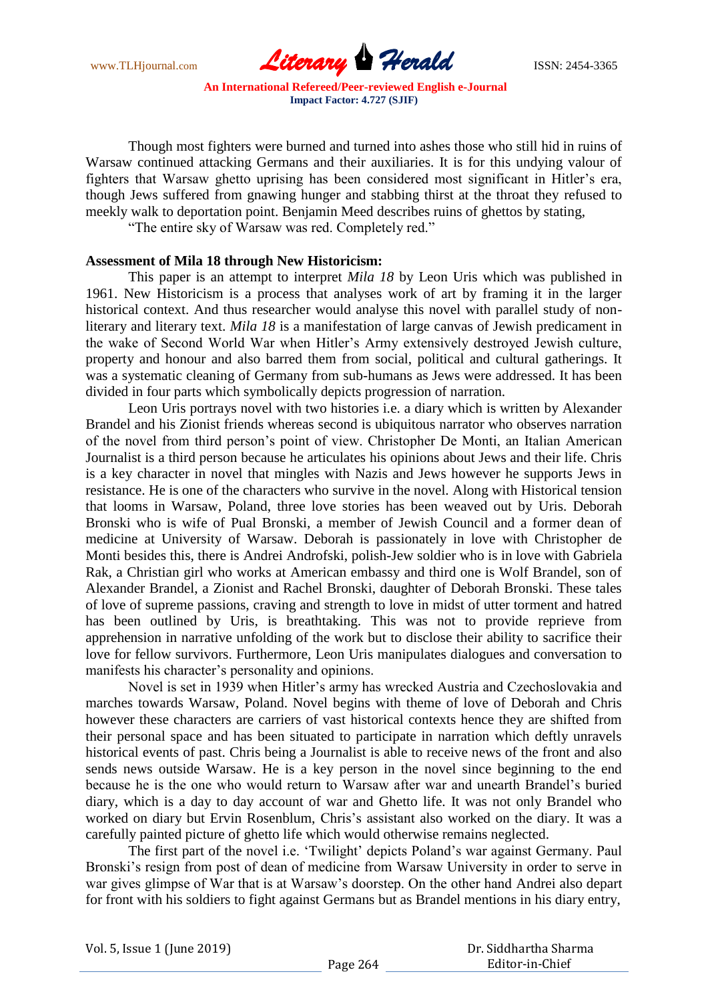www.TLHjournal.com **Literary Herald ISSN: 2454-3365** 

Though most fighters were burned and turned into ashes those who still hid in ruins of Warsaw continued attacking Germans and their auxiliaries. It is for this undying valour of fighters that Warsaw ghetto uprising has been considered most significant in Hitler's era, though Jews suffered from gnawing hunger and stabbing thirst at the throat they refused to meekly walk to deportation point. Benjamin Meed describes ruins of ghettos by stating,

"The entire sky of Warsaw was red. Completely red."

#### **Assessment of Mila 18 through New Historicism:**

This paper is an attempt to interpret *Mila 18* by Leon Uris which was published in 1961. New Historicism is a process that analyses work of art by framing it in the larger historical context. And thus researcher would analyse this novel with parallel study of nonliterary and literary text. *Mila 18* is a manifestation of large canvas of Jewish predicament in the wake of Second World War when Hitler"s Army extensively destroyed Jewish culture, property and honour and also barred them from social, political and cultural gatherings. It was a systematic cleaning of Germany from sub-humans as Jews were addressed. It has been divided in four parts which symbolically depicts progression of narration.

Leon Uris portrays novel with two histories i.e. a diary which is written by Alexander Brandel and his Zionist friends whereas second is ubiquitous narrator who observes narration of the novel from third person"s point of view. Christopher De Monti, an Italian American Journalist is a third person because he articulates his opinions about Jews and their life. Chris is a key character in novel that mingles with Nazis and Jews however he supports Jews in resistance. He is one of the characters who survive in the novel. Along with Historical tension that looms in Warsaw, Poland, three love stories has been weaved out by Uris. Deborah Bronski who is wife of Pual Bronski, a member of Jewish Council and a former dean of medicine at University of Warsaw. Deborah is passionately in love with Christopher de Monti besides this, there is Andrei Androfski, polish-Jew soldier who is in love with Gabriela Rak, a Christian girl who works at American embassy and third one is Wolf Brandel, son of Alexander Brandel, a Zionist and Rachel Bronski, daughter of Deborah Bronski. These tales of love of supreme passions, craving and strength to love in midst of utter torment and hatred has been outlined by Uris, is breathtaking. This was not to provide reprieve from apprehension in narrative unfolding of the work but to disclose their ability to sacrifice their love for fellow survivors. Furthermore, Leon Uris manipulates dialogues and conversation to manifests his character's personality and opinions.

Novel is set in 1939 when Hitler"s army has wrecked Austria and Czechoslovakia and marches towards Warsaw, Poland. Novel begins with theme of love of Deborah and Chris however these characters are carriers of vast historical contexts hence they are shifted from their personal space and has been situated to participate in narration which deftly unravels historical events of past. Chris being a Journalist is able to receive news of the front and also sends news outside Warsaw. He is a key person in the novel since beginning to the end because he is the one who would return to Warsaw after war and unearth Brandel"s buried diary, which is a day to day account of war and Ghetto life. It was not only Brandel who worked on diary but Ervin Rosenblum, Chris's assistant also worked on the diary. It was a carefully painted picture of ghetto life which would otherwise remains neglected.

The first part of the novel i.e. "Twilight" depicts Poland"s war against Germany. Paul Bronski's resign from post of dean of medicine from Warsaw University in order to serve in war gives glimpse of War that is at Warsaw"s doorstep. On the other hand Andrei also depart for front with his soldiers to fight against Germans but as Brandel mentions in his diary entry,

|  | Vol. 5, Issue 1 (June 2019) |  |
|--|-----------------------------|--|
|--|-----------------------------|--|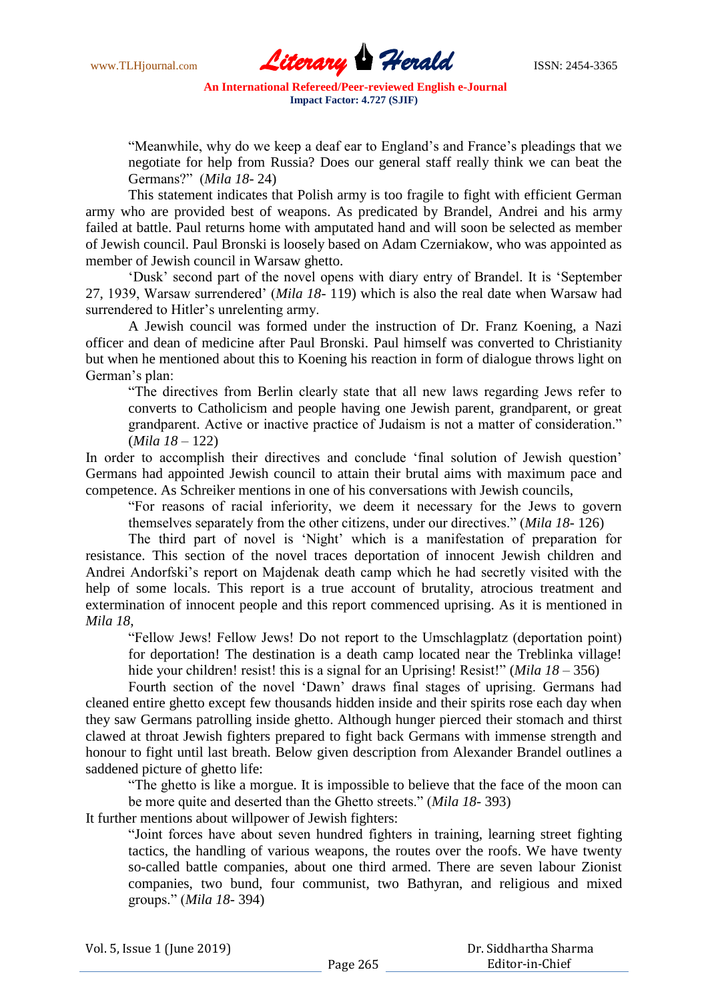

"Meanwhile, why do we keep a deaf ear to England"s and France"s pleadings that we negotiate for help from Russia? Does our general staff really think we can beat the Germans?" (*Mila 18*- 24)

This statement indicates that Polish army is too fragile to fight with efficient German army who are provided best of weapons. As predicated by Brandel, Andrei and his army failed at battle. Paul returns home with amputated hand and will soon be selected as member of Jewish council. Paul Bronski is loosely based on Adam Czerniakow, who was appointed as member of Jewish council in Warsaw ghetto.

"Dusk" second part of the novel opens with diary entry of Brandel. It is "September 27, 1939, Warsaw surrendered" (*Mila 18*- 119) which is also the real date when Warsaw had surrendered to Hitler's unrelenting army.

A Jewish council was formed under the instruction of Dr. Franz Koening, a Nazi officer and dean of medicine after Paul Bronski. Paul himself was converted to Christianity but when he mentioned about this to Koening his reaction in form of dialogue throws light on German's plan:

"The directives from Berlin clearly state that all new laws regarding Jews refer to converts to Catholicism and people having one Jewish parent, grandparent, or great grandparent. Active or inactive practice of Judaism is not a matter of consideration." (*Mila 18* – 122)

In order to accomplish their directives and conclude 'final solution of Jewish question' Germans had appointed Jewish council to attain their brutal aims with maximum pace and competence. As Schreiker mentions in one of his conversations with Jewish councils,

"For reasons of racial inferiority, we deem it necessary for the Jews to govern themselves separately from the other citizens, under our directives." (*Mila 18*- 126)

The third part of novel is "Night" which is a manifestation of preparation for resistance. This section of the novel traces deportation of innocent Jewish children and Andrei Andorfski"s report on Majdenak death camp which he had secretly visited with the help of some locals. This report is a true account of brutality, atrocious treatment and extermination of innocent people and this report commenced uprising. As it is mentioned in *Mila 18*,

"Fellow Jews! Fellow Jews! Do not report to the Umschlagplatz (deportation point) for deportation! The destination is a death camp located near the Treblinka village! hide your children! resist! this is a signal for an Uprising! Resist!" (*Mila 18 – 356*)

Fourth section of the novel "Dawn" draws final stages of uprising. Germans had cleaned entire ghetto except few thousands hidden inside and their spirits rose each day when they saw Germans patrolling inside ghetto. Although hunger pierced their stomach and thirst clawed at throat Jewish fighters prepared to fight back Germans with immense strength and honour to fight until last breath. Below given description from Alexander Brandel outlines a saddened picture of ghetto life:

"The ghetto is like a morgue. It is impossible to believe that the face of the moon can be more quite and deserted than the Ghetto streets." (*Mila 18*- 393)

It further mentions about willpower of Jewish fighters:

"Joint forces have about seven hundred fighters in training, learning street fighting tactics, the handling of various weapons, the routes over the roofs. We have twenty so-called battle companies, about one third armed. There are seven labour Zionist companies, two bund, four communist, two Bathyran, and religious and mixed groups." (*Mila 18*- 394)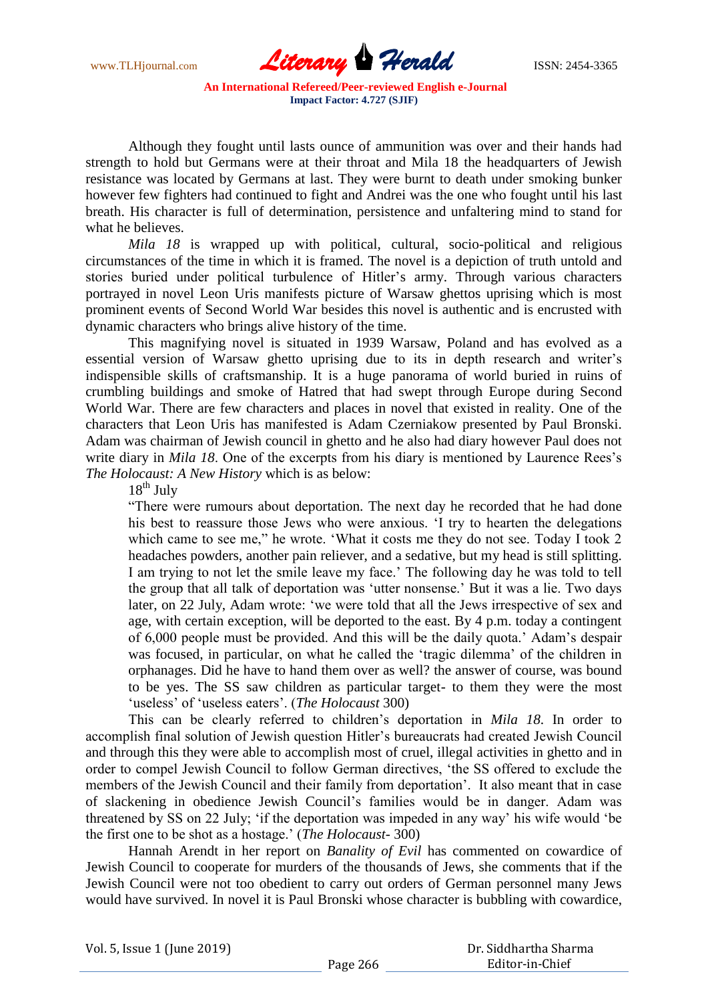

Although they fought until lasts ounce of ammunition was over and their hands had strength to hold but Germans were at their throat and Mila 18 the headquarters of Jewish resistance was located by Germans at last. They were burnt to death under smoking bunker however few fighters had continued to fight and Andrei was the one who fought until his last breath. His character is full of determination, persistence and unfaltering mind to stand for what he believes.

*Mila 18* is wrapped up with political, cultural, socio-political and religious circumstances of the time in which it is framed. The novel is a depiction of truth untold and stories buried under political turbulence of Hitler's army. Through various characters portrayed in novel Leon Uris manifests picture of Warsaw ghettos uprising which is most prominent events of Second World War besides this novel is authentic and is encrusted with dynamic characters who brings alive history of the time.

This magnifying novel is situated in 1939 Warsaw, Poland and has evolved as a essential version of Warsaw ghetto uprising due to its in depth research and writer"s indispensible skills of craftsmanship. It is a huge panorama of world buried in ruins of crumbling buildings and smoke of Hatred that had swept through Europe during Second World War. There are few characters and places in novel that existed in reality. One of the characters that Leon Uris has manifested is Adam Czerniakow presented by Paul Bronski. Adam was chairman of Jewish council in ghetto and he also had diary however Paul does not write diary in *Mila 18*. One of the excerpts from his diary is mentioned by Laurence Rees's *The Holocaust: A New History* which is as below:

 $18^{th}$  July

"There were rumours about deportation. The next day he recorded that he had done his best to reassure those Jews who were anxious. "I try to hearten the delegations which came to see me," he wrote. "What it costs me they do not see. Today I took 2 headaches powders, another pain reliever, and a sedative, but my head is still splitting. I am trying to not let the smile leave my face." The following day he was told to tell the group that all talk of deportation was "utter nonsense." But it was a lie. Two days later, on 22 July, Adam wrote: "we were told that all the Jews irrespective of sex and age, with certain exception, will be deported to the east. By 4 p.m. today a contingent of 6,000 people must be provided. And this will be the daily quota." Adam"s despair was focused, in particular, on what he called the "tragic dilemma" of the children in orphanages. Did he have to hand them over as well? the answer of course, was bound to be yes. The SS saw children as particular target- to them they were the most 'useless' of 'useless eaters'. (*The Holocaust* 300)

This can be clearly referred to children"s deportation in *Mila 18*. In order to accomplish final solution of Jewish question Hitler"s bureaucrats had created Jewish Council and through this they were able to accomplish most of cruel, illegal activities in ghetto and in order to compel Jewish Council to follow German directives, "the SS offered to exclude the members of the Jewish Council and their family from deportation". It also meant that in case of slackening in obedience Jewish Council"s families would be in danger. Adam was threatened by SS on 22 July; "if the deportation was impeded in any way" his wife would "be the first one to be shot as a hostage." (*The Holocaust*- 300)

Hannah Arendt in her report on *Banality of Evil* has commented on cowardice of Jewish Council to cooperate for murders of the thousands of Jews, she comments that if the Jewish Council were not too obedient to carry out orders of German personnel many Jews would have survived. In novel it is Paul Bronski whose character is bubbling with cowardice,

Vol. 5, Issue 1 (June 2019)

 Dr. Siddhartha Sharma Editor-in-Chief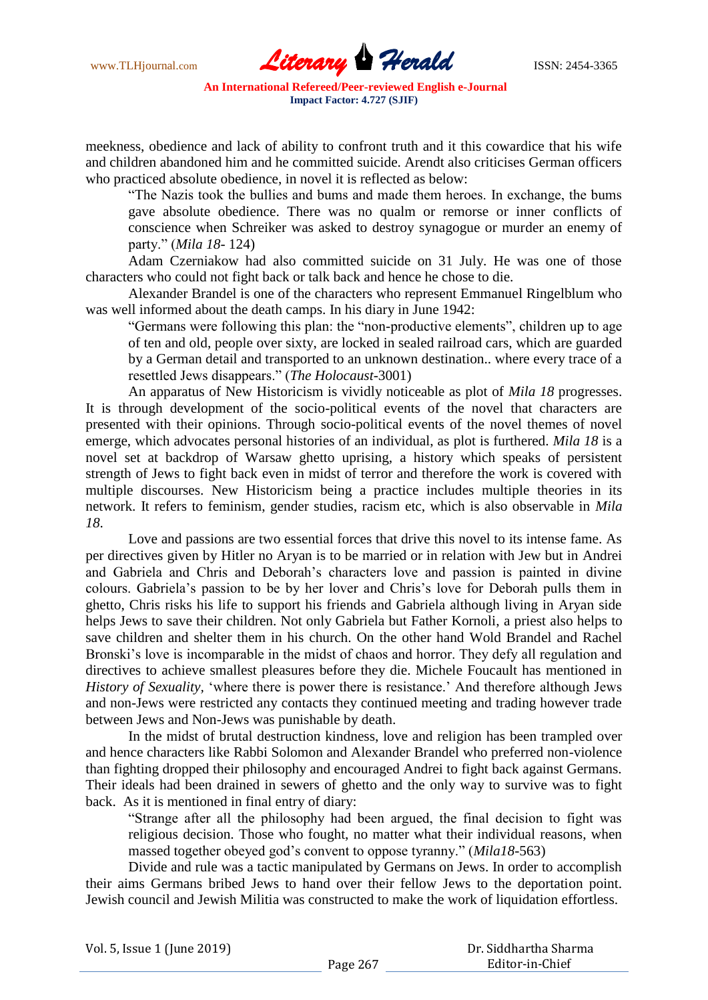www.TLHjournal.com **Literary Herald ISSN: 2454-3365** 

meekness, obedience and lack of ability to confront truth and it this cowardice that his wife and children abandoned him and he committed suicide. Arendt also criticises German officers who practiced absolute obedience, in novel it is reflected as below:

"The Nazis took the bullies and bums and made them heroes. In exchange, the bums gave absolute obedience. There was no qualm or remorse or inner conflicts of conscience when Schreiker was asked to destroy synagogue or murder an enemy of party." (*Mila 18*- 124)

Adam Czerniakow had also committed suicide on 31 July. He was one of those characters who could not fight back or talk back and hence he chose to die.

Alexander Brandel is one of the characters who represent Emmanuel Ringelblum who was well informed about the death camps. In his diary in June 1942:

"Germans were following this plan: the "non-productive elements", children up to age of ten and old, people over sixty, are locked in sealed railroad cars, which are guarded by a German detail and transported to an unknown destination.. where every trace of a resettled Jews disappears." (*The Holocaust*-3001)

An apparatus of New Historicism is vividly noticeable as plot of *Mila 18* progresses. It is through development of the socio-political events of the novel that characters are presented with their opinions. Through socio-political events of the novel themes of novel emerge, which advocates personal histories of an individual, as plot is furthered. *Mila 18* is a novel set at backdrop of Warsaw ghetto uprising, a history which speaks of persistent strength of Jews to fight back even in midst of terror and therefore the work is covered with multiple discourses. New Historicism being a practice includes multiple theories in its network. It refers to feminism, gender studies, racism etc, which is also observable in *Mila 18*.

Love and passions are two essential forces that drive this novel to its intense fame. As per directives given by Hitler no Aryan is to be married or in relation with Jew but in Andrei and Gabriela and Chris and Deborah"s characters love and passion is painted in divine colours. Gabriela"s passion to be by her lover and Chris"s love for Deborah pulls them in ghetto, Chris risks his life to support his friends and Gabriela although living in Aryan side helps Jews to save their children. Not only Gabriela but Father Kornoli, a priest also helps to save children and shelter them in his church. On the other hand Wold Brandel and Rachel Bronski's love is incomparable in the midst of chaos and horror. They defy all regulation and directives to achieve smallest pleasures before they die. Michele Foucault has mentioned in *History of Sexuality, 'where there is power there is resistance.'* And therefore although Jews and non-Jews were restricted any contacts they continued meeting and trading however trade between Jews and Non-Jews was punishable by death.

In the midst of brutal destruction kindness, love and religion has been trampled over and hence characters like Rabbi Solomon and Alexander Brandel who preferred non-violence than fighting dropped their philosophy and encouraged Andrei to fight back against Germans. Their ideals had been drained in sewers of ghetto and the only way to survive was to fight back. As it is mentioned in final entry of diary:

"Strange after all the philosophy had been argued, the final decision to fight was religious decision. Those who fought, no matter what their individual reasons, when massed together obeyed god"s convent to oppose tyranny." (*Mila18*-563)

Divide and rule was a tactic manipulated by Germans on Jews. In order to accomplish their aims Germans bribed Jews to hand over their fellow Jews to the deportation point. Jewish council and Jewish Militia was constructed to make the work of liquidation effortless.

| Vol. 5, Issue 1 (June 2019) |  |  |
|-----------------------------|--|--|
|-----------------------------|--|--|

 Dr. Siddhartha Sharma Editor-in-Chief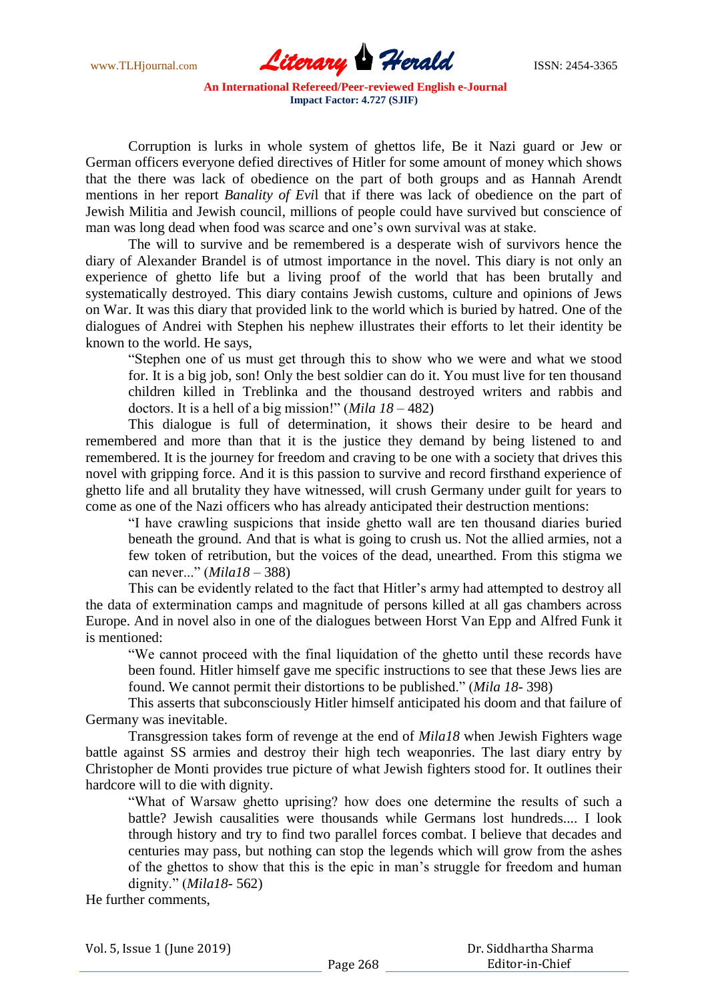www.TLHjournal.com **Literary Herald ISSN: 2454-3365** 

Corruption is lurks in whole system of ghettos life, Be it Nazi guard or Jew or German officers everyone defied directives of Hitler for some amount of money which shows that the there was lack of obedience on the part of both groups and as Hannah Arendt mentions in her report *Banality of Evi*l that if there was lack of obedience on the part of Jewish Militia and Jewish council, millions of people could have survived but conscience of man was long dead when food was scarce and one"s own survival was at stake.

The will to survive and be remembered is a desperate wish of survivors hence the diary of Alexander Brandel is of utmost importance in the novel. This diary is not only an experience of ghetto life but a living proof of the world that has been brutally and systematically destroyed. This diary contains Jewish customs, culture and opinions of Jews on War. It was this diary that provided link to the world which is buried by hatred. One of the dialogues of Andrei with Stephen his nephew illustrates their efforts to let their identity be known to the world. He says,

"Stephen one of us must get through this to show who we were and what we stood for. It is a big job, son! Only the best soldier can do it. You must live for ten thousand children killed in Treblinka and the thousand destroyed writers and rabbis and doctors. It is a hell of a big mission!" (*Mila 18* – 482)

This dialogue is full of determination, it shows their desire to be heard and remembered and more than that it is the justice they demand by being listened to and remembered. It is the journey for freedom and craving to be one with a society that drives this novel with gripping force. And it is this passion to survive and record firsthand experience of ghetto life and all brutality they have witnessed, will crush Germany under guilt for years to come as one of the Nazi officers who has already anticipated their destruction mentions:

"I have crawling suspicions that inside ghetto wall are ten thousand diaries buried beneath the ground. And that is what is going to crush us. Not the allied armies, not a few token of retribution, but the voices of the dead, unearthed. From this stigma we can never..." (*Mila18* – 388)

This can be evidently related to the fact that Hitler's army had attempted to destroy all the data of extermination camps and magnitude of persons killed at all gas chambers across Europe. And in novel also in one of the dialogues between Horst Van Epp and Alfred Funk it is mentioned:

"We cannot proceed with the final liquidation of the ghetto until these records have been found. Hitler himself gave me specific instructions to see that these Jews lies are found. We cannot permit their distortions to be published." (*Mila 18*- 398)

This asserts that subconsciously Hitler himself anticipated his doom and that failure of Germany was inevitable.

Transgression takes form of revenge at the end of *Mila18* when Jewish Fighters wage battle against SS armies and destroy their high tech weaponries. The last diary entry by Christopher de Monti provides true picture of what Jewish fighters stood for. It outlines their hardcore will to die with dignity.

"What of Warsaw ghetto uprising? how does one determine the results of such a battle? Jewish causalities were thousands while Germans lost hundreds.... I look through history and try to find two parallel forces combat. I believe that decades and centuries may pass, but nothing can stop the legends which will grow from the ashes of the ghettos to show that this is the epic in man"s struggle for freedom and human dignity." (*Mila18*- 562)

He further comments,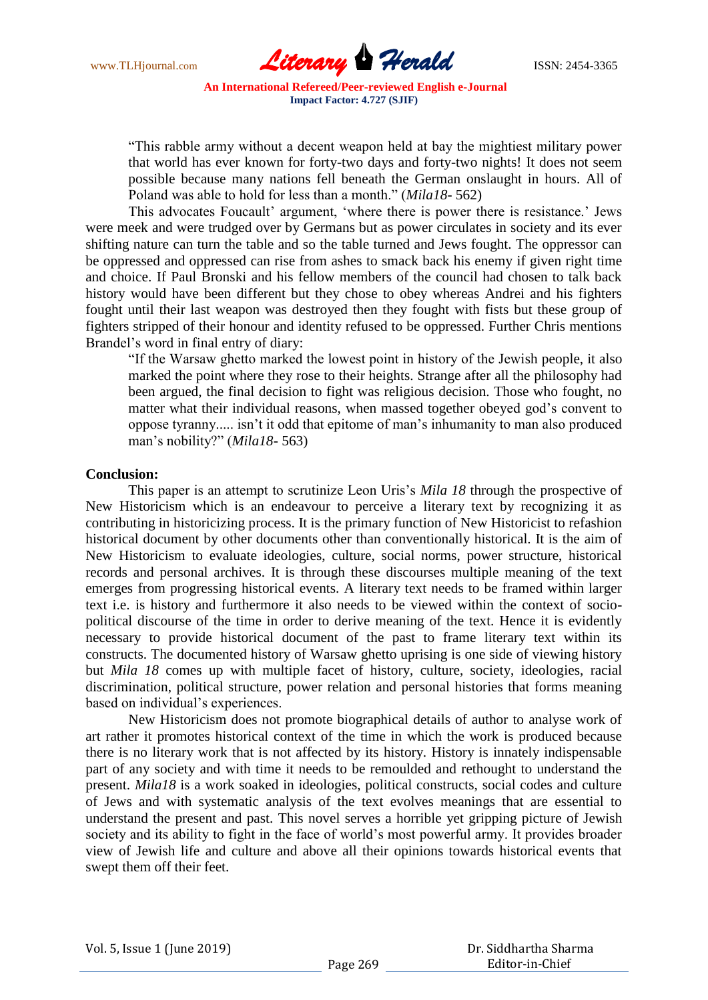www.TLHjournal.com **Literary Herald ISSN: 2454-3365** 

"This rabble army without a decent weapon held at bay the mightiest military power that world has ever known for forty-two days and forty-two nights! It does not seem possible because many nations fell beneath the German onslaught in hours. All of Poland was able to hold for less than a month." (*Mila18*- 562)

This advocates Foucault' argument, 'where there is power there is resistance.' Jews were meek and were trudged over by Germans but as power circulates in society and its ever shifting nature can turn the table and so the table turned and Jews fought. The oppressor can be oppressed and oppressed can rise from ashes to smack back his enemy if given right time and choice. If Paul Bronski and his fellow members of the council had chosen to talk back history would have been different but they chose to obey whereas Andrei and his fighters fought until their last weapon was destroyed then they fought with fists but these group of fighters stripped of their honour and identity refused to be oppressed. Further Chris mentions Brandel"s word in final entry of diary:

"If the Warsaw ghetto marked the lowest point in history of the Jewish people, it also marked the point where they rose to their heights. Strange after all the philosophy had been argued, the final decision to fight was religious decision. Those who fought, no matter what their individual reasons, when massed together obeyed god's convent to oppose tyranny..... isn"t it odd that epitome of man"s inhumanity to man also produced man"s nobility?" (*Mila18*- 563)

#### **Conclusion:**

This paper is an attempt to scrutinize Leon Uris's *Mila 18* through the prospective of New Historicism which is an endeavour to perceive a literary text by recognizing it as contributing in historicizing process. It is the primary function of New Historicist to refashion historical document by other documents other than conventionally historical. It is the aim of New Historicism to evaluate ideologies, culture, social norms, power structure, historical records and personal archives. It is through these discourses multiple meaning of the text emerges from progressing historical events. A literary text needs to be framed within larger text i.e. is history and furthermore it also needs to be viewed within the context of sociopolitical discourse of the time in order to derive meaning of the text. Hence it is evidently necessary to provide historical document of the past to frame literary text within its constructs. The documented history of Warsaw ghetto uprising is one side of viewing history but *Mila 18* comes up with multiple facet of history, culture, society, ideologies, racial discrimination, political structure, power relation and personal histories that forms meaning based on individual"s experiences.

New Historicism does not promote biographical details of author to analyse work of art rather it promotes historical context of the time in which the work is produced because there is no literary work that is not affected by its history. History is innately indispensable part of any society and with time it needs to be remoulded and rethought to understand the present. *Mila18* is a work soaked in ideologies, political constructs, social codes and culture of Jews and with systematic analysis of the text evolves meanings that are essential to understand the present and past. This novel serves a horrible yet gripping picture of Jewish society and its ability to fight in the face of world"s most powerful army. It provides broader view of Jewish life and culture and above all their opinions towards historical events that swept them off their feet.